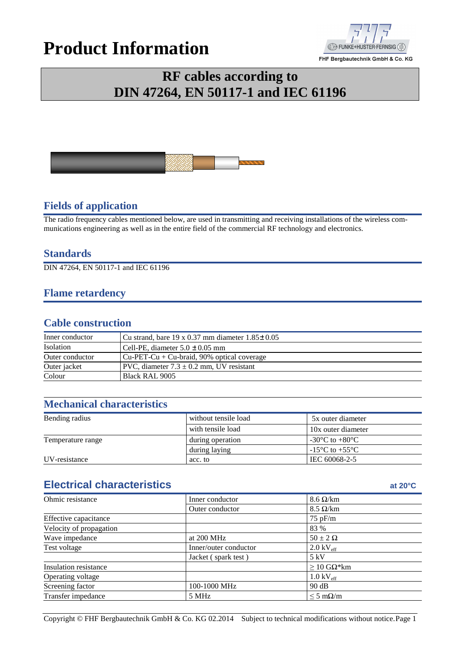# **Product Information**



# **RF cables according to DIN 47264, EN 50117-1 and IEC 61196**



#### **Fields of application**

The radio frequency cables mentioned below, are used in transmitting and receiving installations of the wireless communications engineering as well as in the entire field of the commercial RF technology and electronics.

#### **Standards**

DIN 47264, EN 50117-1 and IEC 61196

#### **Flame retardency**

#### **Cable construction**

| Inner conductor | Cu strand, bare 19 x 0.37 mm diameter $1.85\pm0.05$ |  |  |  |
|-----------------|-----------------------------------------------------|--|--|--|
| Isolation       | Cell-PE, diameter $5.0 \pm 0.05$ mm                 |  |  |  |
| Outer conductor | $ Cu-PET-Cu+Cu-braid, 90% optical coverage$         |  |  |  |
| Outer jacket    | PVC, diameter $7.3 \pm 0.2$ mm, UV resistant        |  |  |  |
| Colour          | Black RAL 9005                                      |  |  |  |

### **Mechanical characteristics**

| Bending radius    | without tensile load | 5x outer diameter                    |  |  |
|-------------------|----------------------|--------------------------------------|--|--|
|                   | with tensile load    | 10x outer diameter                   |  |  |
| Temperature range | during operation     | -30 $^{\circ}$ C to +80 $^{\circ}$ C |  |  |
|                   | during laying        | $-15^{\circ}$ C to $+55^{\circ}$ C   |  |  |
| UV-resistance     | acc. to              | IEC 60068-2-5                        |  |  |

## **Electrical characteristics at 20°C**

| Ohmic resistance        | Inner conductor       | $8.6 \Omega/km$                   |  |  |
|-------------------------|-----------------------|-----------------------------------|--|--|
|                         | Outer conductor       | $8.5 \Omega/km$                   |  |  |
| Effective capacitance   |                       | $75$ pF/m                         |  |  |
| Velocity of propagation |                       | 83 %                              |  |  |
| Wave impedance          | $50 \pm 2 \Omega$     |                                   |  |  |
| Test voltage            | Inner/outer conductor | $2.0 \text{ kV}_{\text{eff}}$     |  |  |
|                         | Jacket (spark test)   | 5 kV                              |  |  |
| Insulation resistance   |                       | $\geq$ 10 GΩ*km                   |  |  |
| Operating voltage       |                       | $1.0 \text{ kV}_{\text{eff}}$     |  |  |
| Screening factor        | 100-1000 MHz<br>90 dB |                                   |  |  |
| Transfer impedance      | 5 MHz                 | $\leq 5 \text{ m}\Omega/\text{m}$ |  |  |